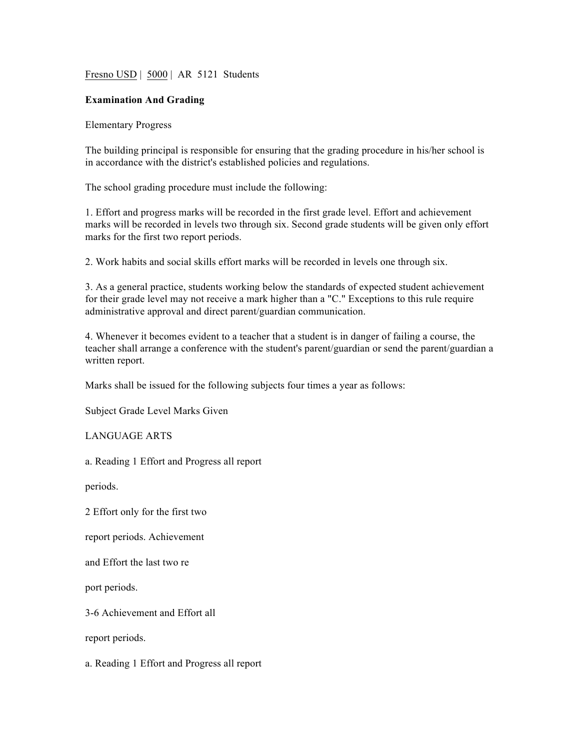Fresno USD | 5000 | AR 5121 Students

### **Examination And Grading**

#### Elementary Progress

The building principal is responsible for ensuring that the grading procedure in his/her school is in accordance with the district's established policies and regulations.

The school grading procedure must include the following:

1. Effort and progress marks will be recorded in the first grade level. Effort and achievement marks will be recorded in levels two through six. Second grade students will be given only effort marks for the first two report periods.

2. Work habits and social skills effort marks will be recorded in levels one through six.

3. As a general practice, students working below the standards of expected student achievement for their grade level may not receive a mark higher than a "C." Exceptions to this rule require administrative approval and direct parent/guardian communication.

4. Whenever it becomes evident to a teacher that a student is in danger of failing a course, the teacher shall arrange a conference with the student's parent/guardian or send the parent/guardian a written report.

Marks shall be issued for the following subjects four times a year as follows:

Subject Grade Level Marks Given

LANGUAGE ARTS

a. Reading 1 Effort and Progress all report

periods.

2 Effort only for the first two

report periods. Achievement

and Effort the last two re

port periods.

3-6 Achievement and Effort all

report periods.

a. Reading 1 Effort and Progress all report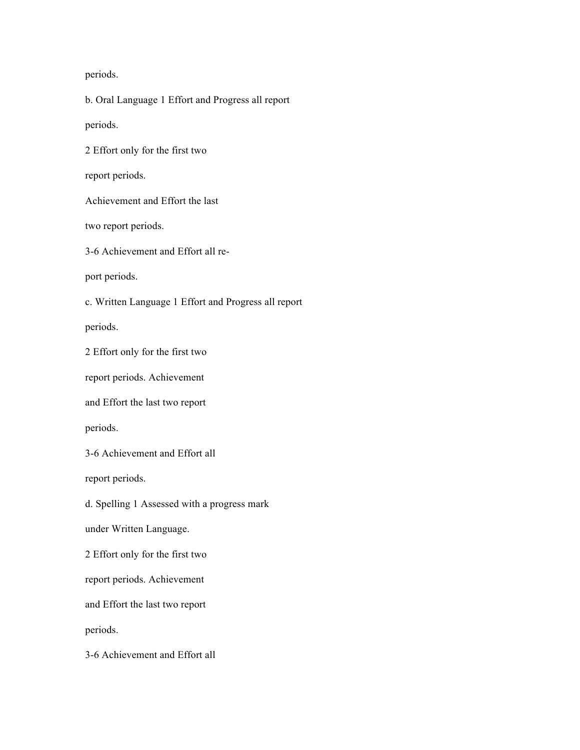periods.

b. Oral Language 1 Effort and Progress all report periods. 2 Effort only for the first two report periods. Achievement and Effort the last two report periods. 3-6 Achievement and Effort all report periods. c. Written Language 1 Effort and Progress all report periods. 2 Effort only for the first two report periods. Achievement and Effort the last two report periods. 3-6 Achievement and Effort all report periods. d. Spelling 1 Assessed with a progress mark under Written Language. 2 Effort only for the first two report periods. Achievement and Effort the last two report periods. 3-6 Achievement and Effort all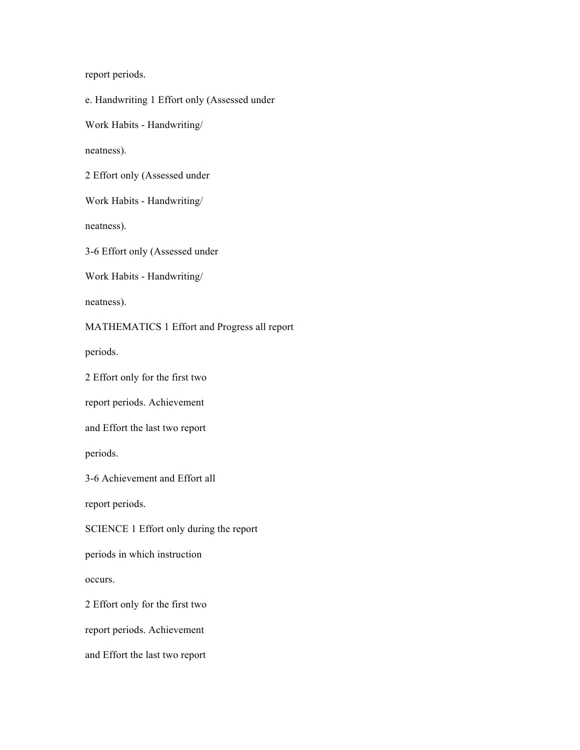report periods.

e. Handwriting 1 Effort only (Assessed under

Work Habits - Handwriting/

neatness).

2 Effort only (Assessed under

Work Habits - Handwriting/

neatness).

3-6 Effort only (Assessed under

Work Habits - Handwriting/

neatness).

MATHEMATICS 1 Effort and Progress all report

periods.

2 Effort only for the first two

report periods. Achievement

and Effort the last two report

periods.

3-6 Achievement and Effort all

report periods.

SCIENCE 1 Effort only during the report

periods in which instruction

occurs.

2 Effort only for the first two

report periods. Achievement

and Effort the last two report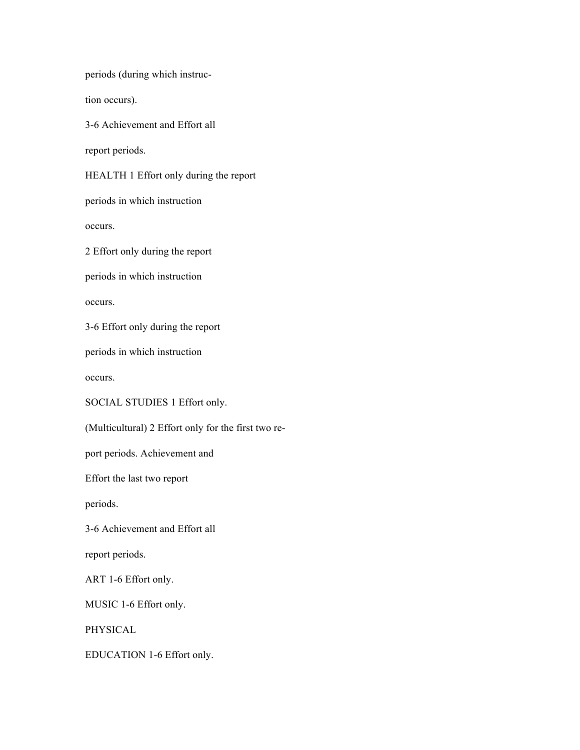periods (during which instruc-

tion occurs).

3-6 Achievement and Effort all

report periods.

HEALTH 1 Effort only during the report

periods in which instruction

occurs.

2 Effort only during the report

periods in which instruction

occurs.

3-6 Effort only during the report

periods in which instruction

occurs.

SOCIAL STUDIES 1 Effort only.

(Multicultural) 2 Effort only for the first two re-

port periods. Achievement and

Effort the last two report

periods.

3-6 Achievement and Effort all

report periods.

ART 1-6 Effort only.

MUSIC 1-6 Effort only.

PHYSICAL

EDUCATION 1-6 Effort only.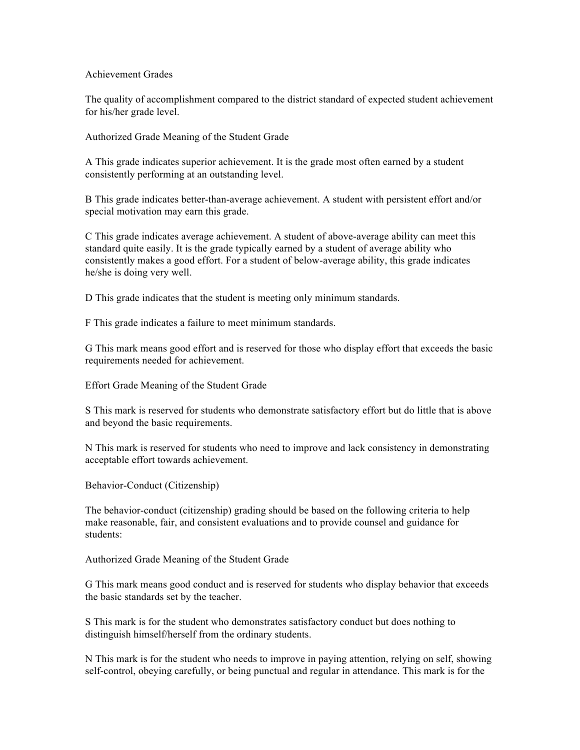#### Achievement Grades

The quality of accomplishment compared to the district standard of expected student achievement for his/her grade level.

Authorized Grade Meaning of the Student Grade

A This grade indicates superior achievement. It is the grade most often earned by a student consistently performing at an outstanding level.

B This grade indicates better-than-average achievement. A student with persistent effort and/or special motivation may earn this grade.

C This grade indicates average achievement. A student of above-average ability can meet this standard quite easily. It is the grade typically earned by a student of average ability who consistently makes a good effort. For a student of below-average ability, this grade indicates he/she is doing very well.

D This grade indicates that the student is meeting only minimum standards.

F This grade indicates a failure to meet minimum standards.

G This mark means good effort and is reserved for those who display effort that exceeds the basic requirements needed for achievement.

Effort Grade Meaning of the Student Grade

S This mark is reserved for students who demonstrate satisfactory effort but do little that is above and beyond the basic requirements.

N This mark is reserved for students who need to improve and lack consistency in demonstrating acceptable effort towards achievement.

Behavior-Conduct (Citizenship)

The behavior-conduct (citizenship) grading should be based on the following criteria to help make reasonable, fair, and consistent evaluations and to provide counsel and guidance for students:

Authorized Grade Meaning of the Student Grade

G This mark means good conduct and is reserved for students who display behavior that exceeds the basic standards set by the teacher.

S This mark is for the student who demonstrates satisfactory conduct but does nothing to distinguish himself/herself from the ordinary students.

N This mark is for the student who needs to improve in paying attention, relying on self, showing self-control, obeying carefully, or being punctual and regular in attendance. This mark is for the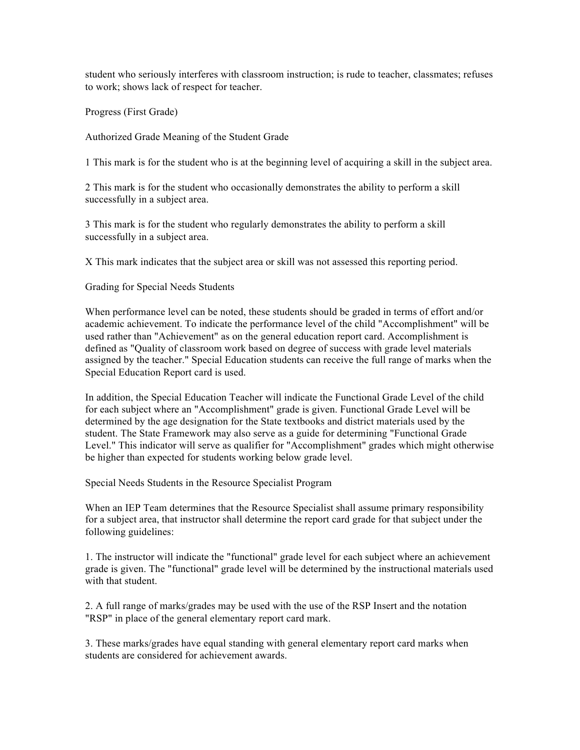student who seriously interferes with classroom instruction; is rude to teacher, classmates; refuses to work; shows lack of respect for teacher.

Progress (First Grade)

Authorized Grade Meaning of the Student Grade

1 This mark is for the student who is at the beginning level of acquiring a skill in the subject area.

2 This mark is for the student who occasionally demonstrates the ability to perform a skill successfully in a subject area.

3 This mark is for the student who regularly demonstrates the ability to perform a skill successfully in a subject area.

X This mark indicates that the subject area or skill was not assessed this reporting period.

Grading for Special Needs Students

When performance level can be noted, these students should be graded in terms of effort and/or academic achievement. To indicate the performance level of the child "Accomplishment" will be used rather than "Achievement" as on the general education report card. Accomplishment is defined as "Quality of classroom work based on degree of success with grade level materials assigned by the teacher." Special Education students can receive the full range of marks when the Special Education Report card is used.

In addition, the Special Education Teacher will indicate the Functional Grade Level of the child for each subject where an "Accomplishment" grade is given. Functional Grade Level will be determined by the age designation for the State textbooks and district materials used by the student. The State Framework may also serve as a guide for determining "Functional Grade Level." This indicator will serve as qualifier for "Accomplishment" grades which might otherwise be higher than expected for students working below grade level.

Special Needs Students in the Resource Specialist Program

When an IEP Team determines that the Resource Specialist shall assume primary responsibility for a subject area, that instructor shall determine the report card grade for that subject under the following guidelines:

1. The instructor will indicate the "functional" grade level for each subject where an achievement grade is given. The "functional" grade level will be determined by the instructional materials used with that student.

2. A full range of marks/grades may be used with the use of the RSP Insert and the notation "RSP" in place of the general elementary report card mark.

3. These marks/grades have equal standing with general elementary report card marks when students are considered for achievement awards.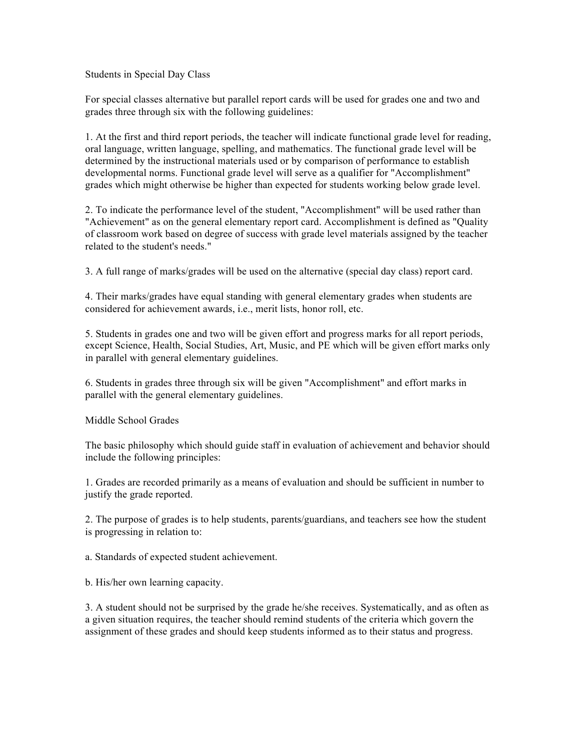Students in Special Day Class

For special classes alternative but parallel report cards will be used for grades one and two and grades three through six with the following guidelines:

1. At the first and third report periods, the teacher will indicate functional grade level for reading, oral language, written language, spelling, and mathematics. The functional grade level will be determined by the instructional materials used or by comparison of performance to establish developmental norms. Functional grade level will serve as a qualifier for "Accomplishment" grades which might otherwise be higher than expected for students working below grade level.

2. To indicate the performance level of the student, "Accomplishment" will be used rather than "Achievement" as on the general elementary report card. Accomplishment is defined as "Quality of classroom work based on degree of success with grade level materials assigned by the teacher related to the student's needs."

3. A full range of marks/grades will be used on the alternative (special day class) report card.

4. Their marks/grades have equal standing with general elementary grades when students are considered for achievement awards, i.e., merit lists, honor roll, etc.

5. Students in grades one and two will be given effort and progress marks for all report periods, except Science, Health, Social Studies, Art, Music, and PE which will be given effort marks only in parallel with general elementary guidelines.

6. Students in grades three through six will be given "Accomplishment" and effort marks in parallel with the general elementary guidelines.

Middle School Grades

The basic philosophy which should guide staff in evaluation of achievement and behavior should include the following principles:

1. Grades are recorded primarily as a means of evaluation and should be sufficient in number to justify the grade reported.

2. The purpose of grades is to help students, parents/guardians, and teachers see how the student is progressing in relation to:

a. Standards of expected student achievement.

b. His/her own learning capacity.

3. A student should not be surprised by the grade he/she receives. Systematically, and as often as a given situation requires, the teacher should remind students of the criteria which govern the assignment of these grades and should keep students informed as to their status and progress.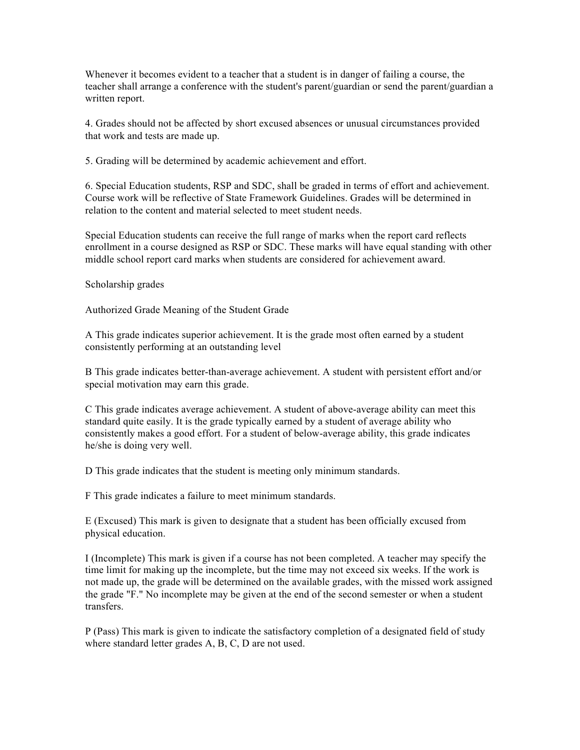Whenever it becomes evident to a teacher that a student is in danger of failing a course, the teacher shall arrange a conference with the student's parent/guardian or send the parent/guardian a written report.

4. Grades should not be affected by short excused absences or unusual circumstances provided that work and tests are made up.

5. Grading will be determined by academic achievement and effort.

6. Special Education students, RSP and SDC, shall be graded in terms of effort and achievement. Course work will be reflective of State Framework Guidelines. Grades will be determined in relation to the content and material selected to meet student needs.

Special Education students can receive the full range of marks when the report card reflects enrollment in a course designed as RSP or SDC. These marks will have equal standing with other middle school report card marks when students are considered for achievement award.

### Scholarship grades

Authorized Grade Meaning of the Student Grade

A This grade indicates superior achievement. It is the grade most often earned by a student consistently performing at an outstanding level

B This grade indicates better-than-average achievement. A student with persistent effort and/or special motivation may earn this grade.

C This grade indicates average achievement. A student of above-average ability can meet this standard quite easily. It is the grade typically earned by a student of average ability who consistently makes a good effort. For a student of below-average ability, this grade indicates he/she is doing very well.

D This grade indicates that the student is meeting only minimum standards.

F This grade indicates a failure to meet minimum standards.

E (Excused) This mark is given to designate that a student has been officially excused from physical education.

I (Incomplete) This mark is given if a course has not been completed. A teacher may specify the time limit for making up the incomplete, but the time may not exceed six weeks. If the work is not made up, the grade will be determined on the available grades, with the missed work assigned the grade "F." No incomplete may be given at the end of the second semester or when a student transfers.

P (Pass) This mark is given to indicate the satisfactory completion of a designated field of study where standard letter grades A, B, C, D are not used.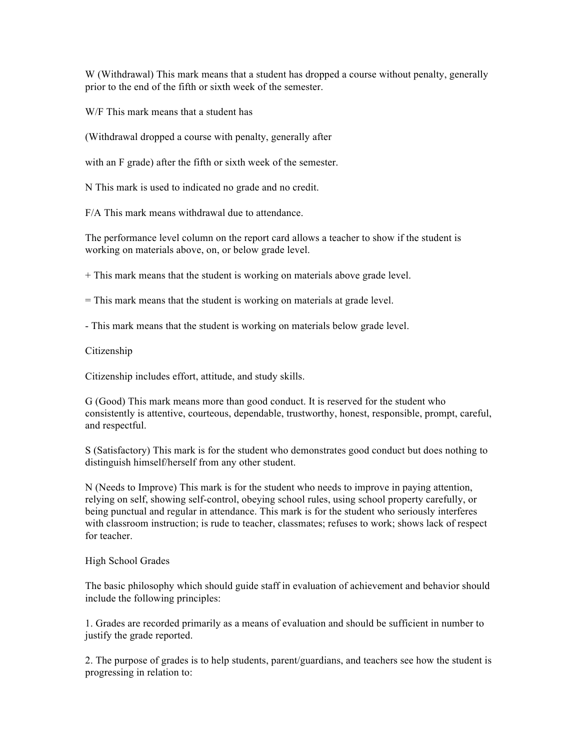W (Withdrawal) This mark means that a student has dropped a course without penalty, generally prior to the end of the fifth or sixth week of the semester.

W/F This mark means that a student has

(Withdrawal dropped a course with penalty, generally after

with an F grade) after the fifth or sixth week of the semester.

N This mark is used to indicated no grade and no credit.

F/A This mark means withdrawal due to attendance.

The performance level column on the report card allows a teacher to show if the student is working on materials above, on, or below grade level.

+ This mark means that the student is working on materials above grade level.

= This mark means that the student is working on materials at grade level.

- This mark means that the student is working on materials below grade level.

# Citizenship

Citizenship includes effort, attitude, and study skills.

G (Good) This mark means more than good conduct. It is reserved for the student who consistently is attentive, courteous, dependable, trustworthy, honest, responsible, prompt, careful, and respectful.

S (Satisfactory) This mark is for the student who demonstrates good conduct but does nothing to distinguish himself/herself from any other student.

N (Needs to Improve) This mark is for the student who needs to improve in paying attention, relying on self, showing self-control, obeying school rules, using school property carefully, or being punctual and regular in attendance. This mark is for the student who seriously interferes with classroom instruction; is rude to teacher, classmates; refuses to work; shows lack of respect for teacher.

# High School Grades

The basic philosophy which should guide staff in evaluation of achievement and behavior should include the following principles:

1. Grades are recorded primarily as a means of evaluation and should be sufficient in number to justify the grade reported.

2. The purpose of grades is to help students, parent/guardians, and teachers see how the student is progressing in relation to: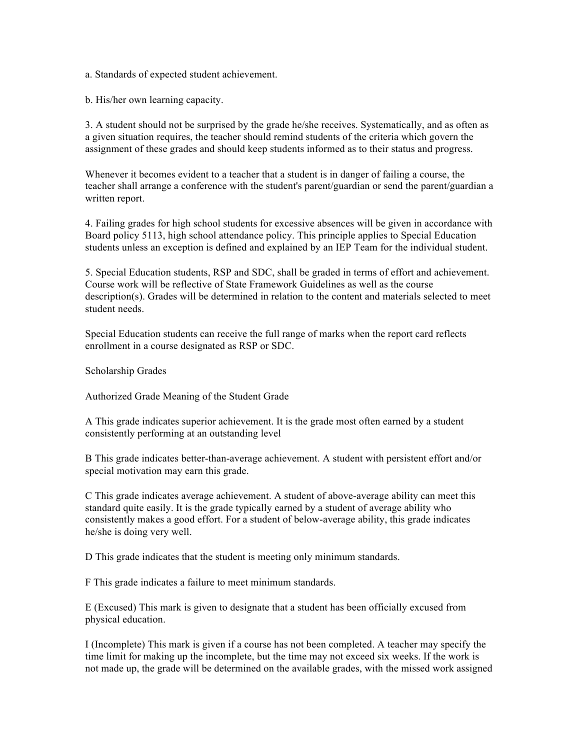a. Standards of expected student achievement.

b. His/her own learning capacity.

3. A student should not be surprised by the grade he/she receives. Systematically, and as often as a given situation requires, the teacher should remind students of the criteria which govern the assignment of these grades and should keep students informed as to their status and progress.

Whenever it becomes evident to a teacher that a student is in danger of failing a course, the teacher shall arrange a conference with the student's parent/guardian or send the parent/guardian a written report.

4. Failing grades for high school students for excessive absences will be given in accordance with Board policy 5113, high school attendance policy. This principle applies to Special Education students unless an exception is defined and explained by an IEP Team for the individual student.

5. Special Education students, RSP and SDC, shall be graded in terms of effort and achievement. Course work will be reflective of State Framework Guidelines as well as the course description(s). Grades will be determined in relation to the content and materials selected to meet student needs.

Special Education students can receive the full range of marks when the report card reflects enrollment in a course designated as RSP or SDC.

Scholarship Grades

Authorized Grade Meaning of the Student Grade

A This grade indicates superior achievement. It is the grade most often earned by a student consistently performing at an outstanding level

B This grade indicates better-than-average achievement. A student with persistent effort and/or special motivation may earn this grade.

C This grade indicates average achievement. A student of above-average ability can meet this standard quite easily. It is the grade typically earned by a student of average ability who consistently makes a good effort. For a student of below-average ability, this grade indicates he/she is doing very well.

D This grade indicates that the student is meeting only minimum standards.

F This grade indicates a failure to meet minimum standards.

E (Excused) This mark is given to designate that a student has been officially excused from physical education.

I (Incomplete) This mark is given if a course has not been completed. A teacher may specify the time limit for making up the incomplete, but the time may not exceed six weeks. If the work is not made up, the grade will be determined on the available grades, with the missed work assigned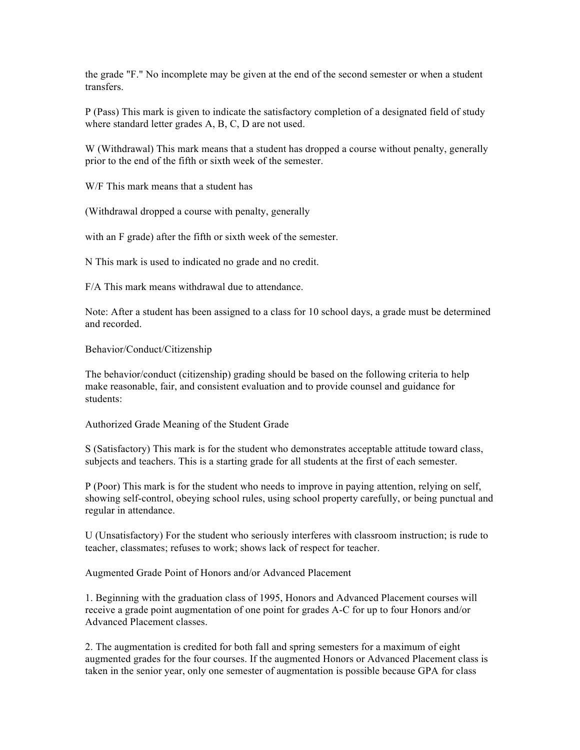the grade "F." No incomplete may be given at the end of the second semester or when a student transfers.

P (Pass) This mark is given to indicate the satisfactory completion of a designated field of study where standard letter grades A, B, C, D are not used.

W (Withdrawal) This mark means that a student has dropped a course without penalty, generally prior to the end of the fifth or sixth week of the semester.

W/F This mark means that a student has

(Withdrawal dropped a course with penalty, generally

with an F grade) after the fifth or sixth week of the semester.

N This mark is used to indicated no grade and no credit.

F/A This mark means withdrawal due to attendance.

Note: After a student has been assigned to a class for 10 school days, a grade must be determined and recorded.

Behavior/Conduct/Citizenship

The behavior/conduct (citizenship) grading should be based on the following criteria to help make reasonable, fair, and consistent evaluation and to provide counsel and guidance for students:

Authorized Grade Meaning of the Student Grade

S (Satisfactory) This mark is for the student who demonstrates acceptable attitude toward class, subjects and teachers. This is a starting grade for all students at the first of each semester.

P (Poor) This mark is for the student who needs to improve in paying attention, relying on self, showing self-control, obeying school rules, using school property carefully, or being punctual and regular in attendance.

U (Unsatisfactory) For the student who seriously interferes with classroom instruction; is rude to teacher, classmates; refuses to work; shows lack of respect for teacher.

Augmented Grade Point of Honors and/or Advanced Placement

1. Beginning with the graduation class of 1995, Honors and Advanced Placement courses will receive a grade point augmentation of one point for grades A-C for up to four Honors and/or Advanced Placement classes.

2. The augmentation is credited for both fall and spring semesters for a maximum of eight augmented grades for the four courses. If the augmented Honors or Advanced Placement class is taken in the senior year, only one semester of augmentation is possible because GPA for class